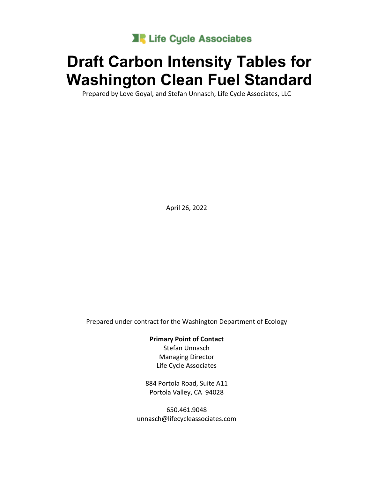

# **Draft Carbon Intensity Tables for Washington Clean Fuel Standard**

Prepared by Love Goyal, and Stefan Unnasch, Life Cycle Associates, LLC

April 26, 2022

Prepared under contract for the Washington Department of Ecology

**Primary Point of Contact**

Stefan Unnasch Managing Director Life Cycle Associates

884 Portola Road, Suite A11 Portola Valley, CA 94028

650.461.9048 unnasch@lifecycleassociates.com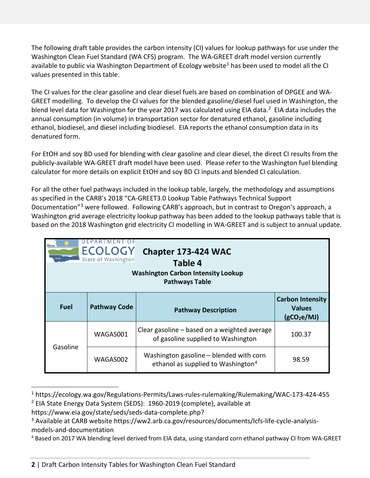The following draft table provides the carbon intensity (CI) values for lookup pathways for use under the Washington Clean Fuel Standard (WA CFS) program. The WA-GREET draft model version currently available to public via Washington Department of Ecology website<sup>[1](#page-1-0)</sup> has been used to model all the CI values presented in this table.

The CI values for the clear gasoline and clear diesel fuels are based on combination of OPGEE and WA-GREET modelling. To develop the CI values for the blended gasoline/diesel fuel used in Washington, the blend level data for Washington for the year [2](#page-1-1)017 was calculated using EIA data.<sup>2</sup> EIA data includes the annual consumption (in volume) in transportation sector for denatured ethanol, gasoline including ethanol, biodiesel, and diesel including biodiesel. EIA reports the ethanol consumption data in its denatured form.

For EtOH and soy BD used for blending with clear gasoline and clear diesel, the direct CI results from the publicly-available WA-GREET draft model have been used. Please refer to the Washington fuel blending calculator for more details on explicit EtOH and soy BD CI inputs and blended CI calculation.

For all the other fuel pathways included in the lookup table, largely, the methodology and assumptions as specified in the CARB's 2018 "CA-GREET3.0 Lookup Table Pathways Technical Support Documentation"[3](#page-1-2) were followed. Following CARB's approach, but in contrast to Oregon's approach, a Washington grid average electricity lookup pathway has been added to the lookup pathways table that is based on the 2018 Washington grid electricity CI modelling in WA-GREET and is subject to annual update.

| DEPARTMENT OF<br><b>ECOLOGY</b><br>Chapter 173-424 WAC<br>State of Washington<br>Table 4<br><b>Washington Carbon Intensity Lookup</b><br><b>Pathways Table</b> |                     |                                                                                           |                                                                     |  |
|----------------------------------------------------------------------------------------------------------------------------------------------------------------|---------------------|-------------------------------------------------------------------------------------------|---------------------------------------------------------------------|--|
| <b>Fuel</b>                                                                                                                                                    | <b>Pathway Code</b> | <b>Pathway Description</b>                                                                | <b>Carbon Intensity</b><br><b>Values</b><br>(gCO <sub>2</sub> e/MJ) |  |
|                                                                                                                                                                | WAGAS001            | Clear gasoline – based on a weighted average<br>of gasoline supplied to Washington        | 100.37                                                              |  |
| Gasoline                                                                                                                                                       | WAGAS002            | Washington gasoline – blended with corn<br>ethanol as supplied to Washington <sup>4</sup> | 98.59                                                               |  |

<span id="page-1-0"></span><sup>&</sup>lt;sup>1</sup> https://ecology.wa.gov/Regulations-Permits/Laws-rules-rulemaking/Rulemaking/WAC-173-424-455  $2$  EIA State Energy Data System (SEDS): 1960-2019 (complete), available at

<span id="page-1-1"></span>https://www.eia.gov/state/seds/seds-data-complete.php?

<span id="page-1-2"></span><sup>&</sup>lt;sup>3</sup> Available at CARB website https://ww2.arb.ca.gov/resources/documents/lcfs-life-cycle-analysismodels-and-documentation

<span id="page-1-3"></span><sup>4</sup> Based on 2017 WA blending level derived from EIA data, using standard corn ethanol pathway CI from WA-GREET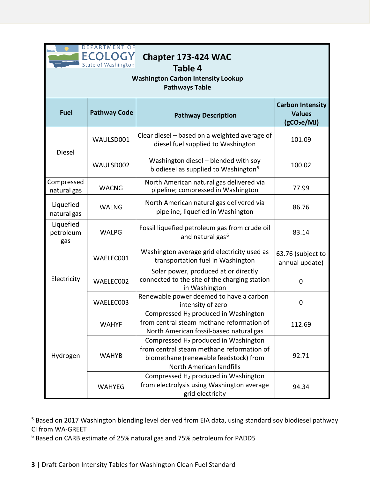

| <b>DEPARTMENT OF</b><br><b>ECOLOG</b><br>Chapter 173-424 WAC<br>State of Washington<br>Table 4<br><b>Washington Carbon Intensity Lookup</b><br><b>Pathways Table</b> |                     |                                                                                                                                          |                                                                     |  |  |
|----------------------------------------------------------------------------------------------------------------------------------------------------------------------|---------------------|------------------------------------------------------------------------------------------------------------------------------------------|---------------------------------------------------------------------|--|--|
| <b>Fuel</b>                                                                                                                                                          | <b>Pathway Code</b> | <b>Pathway Description</b>                                                                                                               | <b>Carbon Intensity</b><br><b>Values</b><br>(gCO <sub>2</sub> e/MJ) |  |  |
| <b>Diesel</b>                                                                                                                                                        | WAULSD001           | Clear diesel – based on a weighted average of<br>diesel fuel supplied to Washington                                                      | 101.09                                                              |  |  |
|                                                                                                                                                                      | WAULSD002           | Washington diesel - blended with soy<br>biodiesel as supplied to Washington <sup>5</sup>                                                 | 100.02                                                              |  |  |
| Compressed<br>natural gas                                                                                                                                            | <b>WACNG</b>        | North American natural gas delivered via<br>pipeline; compressed in Washington                                                           | 77.99                                                               |  |  |
| Liquefied<br>natural gas                                                                                                                                             | <b>WALNG</b>        | North American natural gas delivered via<br>pipeline; liquefied in Washington                                                            | 86.76                                                               |  |  |
| Liquefied<br>petroleum<br>gas                                                                                                                                        | <b>WALPG</b>        | Fossil liquefied petroleum gas from crude oil<br>and natural gas <sup>6</sup>                                                            | 83.14                                                               |  |  |
|                                                                                                                                                                      | WAELEC001           | Washington average grid electricity used as<br>transportation fuel in Washington                                                         | 63.76 (subject to<br>annual update)                                 |  |  |
| Electricity                                                                                                                                                          | WAELEC002           | Solar power, produced at or directly<br>connected to the site of the charging station<br>in Washington                                   | $\overline{0}$                                                      |  |  |
|                                                                                                                                                                      | WAELEC003           | Renewable power deemed to have a carbon<br>intensity of zero                                                                             | 0                                                                   |  |  |
|                                                                                                                                                                      | <b>WAHYF</b>        | Compressed H <sub>2</sub> produced in Washington<br>from central steam methane reformation of<br>North American fossil-based natural gas | 112.69                                                              |  |  |
| Hydrogen                                                                                                                                                             | <b>WAHYB</b>        | Compressed H <sub>2</sub> produced in Washington<br>from central steam methane reformation of<br>biomethane (renewable feedstock) from   | 92.71                                                               |  |  |

North American landfills

Compressed H2 produced in Washington from electrolysis using Washington average grid electricity

94.34

WAHYEG

<span id="page-2-0"></span> $\overline{a}$ <sup>5</sup> Based on 2017 Washington blending level derived from EIA data, using standard soy biodiesel pathway CI from WA-GREET

<span id="page-2-1"></span><sup>6</sup> Based on CARB estimate of 25% natural gas and 75% petroleum for PADD5

**<sup>3</sup>** | Draft Carbon Intensity Tables for Washington Clean Fuel Standard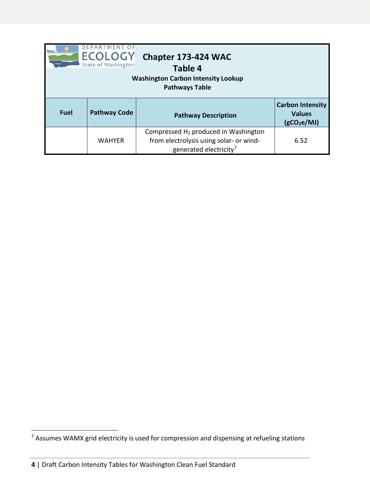| DEPARTMENT<br><b>ECOLOGY</b><br>State of Washington |                     |                                                                                                                                   |                                                                     |
|-----------------------------------------------------|---------------------|-----------------------------------------------------------------------------------------------------------------------------------|---------------------------------------------------------------------|
| <b>Fuel</b>                                         | <b>Pathway Code</b> | <b>Pathway Description</b>                                                                                                        | <b>Carbon Intensity</b><br><b>Values</b><br>(gCO <sub>2</sub> e/MJ) |
|                                                     | <b>WAHYER</b>       | Compressed H <sub>2</sub> produced in Washington<br>from electrolysis using solar- or wind-<br>generated electricity <sup>7</sup> | 6.52                                                                |

<span id="page-3-0"></span> $7$  Assumes WAMX grid electricity is used for compression and dispensing at refueling stations

**<sup>4</sup>** | Draft Carbon Intensity Tables for Washington Clean Fuel Standard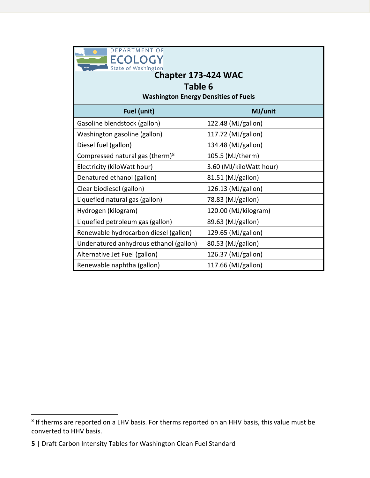| <b>DEPARTMENT OF</b><br><b>ECOLOGY</b><br>State of Washington<br>Chapter 173-424 WAC<br>Table 6<br><b>Washington Energy Densities of Fuels</b> |                         |  |  |  |
|------------------------------------------------------------------------------------------------------------------------------------------------|-------------------------|--|--|--|
| Fuel (unit)                                                                                                                                    | MJ/unit                 |  |  |  |
| Gasoline blendstock (gallon)                                                                                                                   | 122.48 (MJ/gallon)      |  |  |  |
| Washington gasoline (gallon)                                                                                                                   | 117.72 (MJ/gallon)      |  |  |  |
| Diesel fuel (gallon)                                                                                                                           | 134.48 (MJ/gallon)      |  |  |  |
| Compressed natural gas (therm) $8$                                                                                                             | 105.5 (MJ/therm)        |  |  |  |
| Electricity (kiloWatt hour)                                                                                                                    | 3.60 (MJ/kiloWatt hour) |  |  |  |
| Denatured ethanol (gallon)                                                                                                                     | 81.51 (MJ/gallon)       |  |  |  |
| Clear biodiesel (gallon)                                                                                                                       | 126.13 (MJ/gallon)      |  |  |  |
| Liquefied natural gas (gallon)                                                                                                                 | 78.83 (MJ/gallon)       |  |  |  |
| Hydrogen (kilogram)                                                                                                                            | 120.00 (MJ/kilogram)    |  |  |  |
| Liquefied petroleum gas (gallon)                                                                                                               | 89.63 (MJ/gallon)       |  |  |  |
| Renewable hydrocarbon diesel (gallon)                                                                                                          | 129.65 (MJ/gallon)      |  |  |  |
| Undenatured anhydrous ethanol (gallon)                                                                                                         | 80.53 (MJ/gallon)       |  |  |  |
| Alternative Jet Fuel (gallon)                                                                                                                  | 126.37 (MJ/gallon)      |  |  |  |
| Renewable naphtha (gallon)                                                                                                                     | 117.66 (MJ/gallon)      |  |  |  |

<span id="page-4-0"></span> $8$  If therms are reported on a LHV basis. For therms reported on an HHV basis, this value must be converted to HHV basis.

**<sup>5</sup>** | Draft Carbon Intensity Tables for Washington Clean Fuel Standard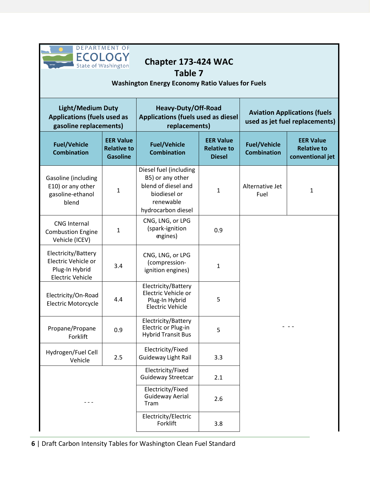| <b>DEPARTMENT OF</b><br><b>ECOLOGY</b><br>Chapter 173-424 WAC<br>State of Washington<br>Table 7<br><b>Washington Energy Economy Ratio Values for Fuels</b> |                                                           |                                                                                                                      |                                                         |                                                                       |                                                            |
|------------------------------------------------------------------------------------------------------------------------------------------------------------|-----------------------------------------------------------|----------------------------------------------------------------------------------------------------------------------|---------------------------------------------------------|-----------------------------------------------------------------------|------------------------------------------------------------|
| <b>Light/Medium Duty</b><br><b>Applications (fuels used as</b><br>gasoline replacements)                                                                   |                                                           | Heavy-Duty/Off-Road<br><b>Applications (fuels used as diesel</b><br>replacements)                                    |                                                         | <b>Aviation Applications (fuels</b><br>used as jet fuel replacements) |                                                            |
| <b>Fuel/Vehicle</b><br><b>Combination</b>                                                                                                                  | <b>EER Value</b><br><b>Relative to</b><br><b>Gasoline</b> | <b>Fuel/Vehicle</b><br><b>Combination</b>                                                                            | <b>EER Value</b><br><b>Relative to</b><br><b>Diesel</b> |                                                                       | <b>EER Value</b><br><b>Relative to</b><br>conventional jet |
| Gasoline (including<br>E10) or any other<br>gasoline-ethanol<br>blend                                                                                      | $\mathbf{1}$                                              | Diesel fuel (including<br>B5) or any other<br>blend of diesel and<br>biodiesel or<br>renewable<br>hydrocarbon diesel | $\mathbf{1}$                                            | Alternative Jet<br>Fuel                                               | $\mathbf{1}$                                               |
| <b>CNG Internal</b><br><b>Combustion Engine</b><br>Vehicle (ICEV)                                                                                          | $\mathbf{1}$                                              | CNG, LNG, or LPG<br>(spark-ignition<br>engines)                                                                      | 0.9                                                     |                                                                       |                                                            |
| Electricity/Battery<br>Electric Vehicle or<br>Plug-In Hybrid<br><b>Electric Vehicle</b>                                                                    | 3.4                                                       | CNG, LNG, or LPG<br>(compression-<br>ignition engines)                                                               | 1                                                       |                                                                       |                                                            |
| Electricity/On-Road<br><b>Electric Motorcycle</b>                                                                                                          | 4.4                                                       | Electricity/Battery<br>Electric Vehicle or<br>Plug-In Hybrid<br><b>Electric Vehicle</b>                              | 5                                                       |                                                                       |                                                            |
| Propane/Propane<br>Forklift                                                                                                                                | 0.9                                                       | Electricity/Battery<br>Electric or Plug-in<br><b>Hybrid Transit Bus</b>                                              | 5                                                       |                                                                       |                                                            |
| Hydrogen/Fuel Cell<br>Vehicle                                                                                                                              | 2.5                                                       | Electricity/Fixed<br><b>Guideway Light Rail</b>                                                                      | 3.3                                                     |                                                                       |                                                            |
|                                                                                                                                                            |                                                           | Electricity/Fixed<br>Guideway Streetcar                                                                              | 2.1                                                     |                                                                       |                                                            |
|                                                                                                                                                            |                                                           | Electricity/Fixed<br><b>Guideway Aerial</b><br>Tram                                                                  | 2.6                                                     |                                                                       |                                                            |
|                                                                                                                                                            |                                                           | Electricity/Electric<br>Forklift                                                                                     | 3.8                                                     |                                                                       |                                                            |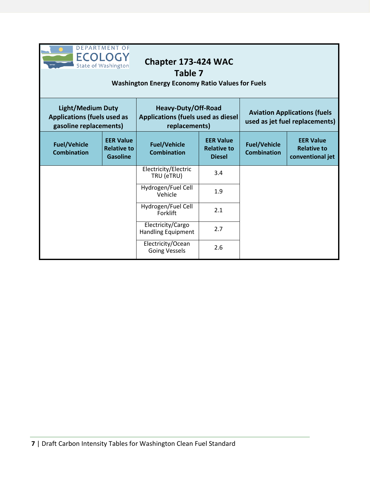| <b>DEPARTMENT OF</b><br><b>ECOLOG</b><br>Chapter 173-424 WAC<br>State of Washington<br>Table 7<br><b>Washington Energy Economy Ratio Values for Fuels</b> |                                                           |                                                                                                      |     |                                                                       |                                                            |
|-----------------------------------------------------------------------------------------------------------------------------------------------------------|-----------------------------------------------------------|------------------------------------------------------------------------------------------------------|-----|-----------------------------------------------------------------------|------------------------------------------------------------|
| <b>Light/Medium Duty</b><br><b>Applications (fuels used as</b><br>gasoline replacements)                                                                  |                                                           | Heavy-Duty/Off-Road<br><b>Applications (fuels used as diesel</b><br>replacements)                    |     | <b>Aviation Applications (fuels</b><br>used as jet fuel replacements) |                                                            |
| <b>Fuel/Vehicle</b><br><b>Combination</b>                                                                                                                 | <b>EER Value</b><br><b>Relative to</b><br><b>Gasoline</b> | <b>EER Value</b><br><b>Fuel/Vehicle</b><br><b>Relative to</b><br><b>Combination</b><br><b>Diesel</b> |     | <b>Fuel/Vehicle</b><br><b>Combination</b>                             | <b>EER Value</b><br><b>Relative to</b><br>conventional jet |
|                                                                                                                                                           |                                                           | Electricity/Electric<br>TRU (eTRU)                                                                   | 3.4 |                                                                       |                                                            |
|                                                                                                                                                           |                                                           | Hydrogen/Fuel Cell<br>Vehicle                                                                        | 1.9 |                                                                       |                                                            |
|                                                                                                                                                           |                                                           | Hydrogen/Fuel Cell<br>Forklift                                                                       | 2.1 |                                                                       |                                                            |
|                                                                                                                                                           |                                                           | Electricity/Cargo<br><b>Handling Equipment</b>                                                       | 2.7 |                                                                       |                                                            |
|                                                                                                                                                           |                                                           | Electricity/Ocean<br><b>Going Vessels</b>                                                            | 2.6 |                                                                       |                                                            |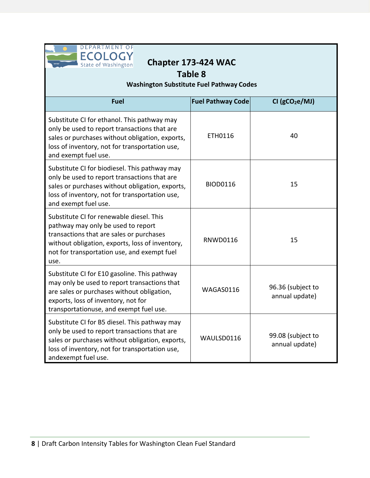

| <b>Table 8</b><br><b>Washington Substitute Fuel Pathway Codes</b>                                                                                                                                                                    |                          |                                     |  |  |  |
|--------------------------------------------------------------------------------------------------------------------------------------------------------------------------------------------------------------------------------------|--------------------------|-------------------------------------|--|--|--|
| <b>Fuel</b>                                                                                                                                                                                                                          | <b>Fuel Pathway Code</b> | CI (gCO <sub>2</sub> e/MJ)          |  |  |  |
| Substitute CI for ethanol. This pathway may<br>only be used to report transactions that are<br>sales or purchases without obligation, exports,<br>loss of inventory, not for transportation use,<br>and exempt fuel use.             | ETH0116                  | 40                                  |  |  |  |
| Substitute CI for biodiesel. This pathway may<br>only be used to report transactions that are<br>sales or purchases without obligation, exports,<br>loss of inventory, not for transportation use,<br>and exempt fuel use.           | <b>BIOD0116</b>          | 15                                  |  |  |  |
| Substitute CI for renewable diesel. This<br>pathway may only be used to report<br>transactions that are sales or purchases<br>without obligation, exports, loss of inventory,<br>not for transportation use, and exempt fuel<br>use. | <b>RNWD0116</b>          | 15                                  |  |  |  |
| Substitute CI for E10 gasoline. This pathway<br>may only be used to report transactions that<br>are sales or purchases without obligation,<br>exports, loss of inventory, not for<br>transportationuse, and exempt fuel use.         | WAGAS0116                | 96.36 (subject to<br>annual update) |  |  |  |
| Substitute CI for B5 diesel. This pathway may<br>only be used to report transactions that are<br>sales or purchases without obligation, exports,<br>loss of inventory, not for transportation use,<br>andexempt fuel use.            | WAULSD0116               | 99.08 (subject to<br>annual update) |  |  |  |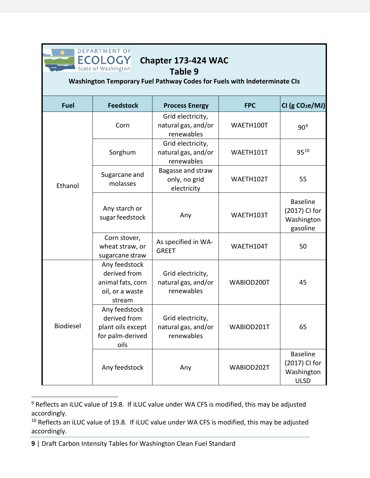

## **Chapter 173-424 WAC**

#### **Table 9**

**Washington Temporary Fuel Pathway Codes for Fuels with Indeterminate CIs**

| <b>Fuel</b> | <b>Feedstock</b>                                                                | <b>Process Energy</b>                                  | <b>FPC</b> | CI (g CO <sub>2</sub> e/MJ)                                   |
|-------------|---------------------------------------------------------------------------------|--------------------------------------------------------|------------|---------------------------------------------------------------|
|             | Corn                                                                            | Grid electricity,<br>natural gas, and/or<br>renewables | WAETH100T  | 90 <sup>9</sup>                                               |
|             | Sorghum                                                                         | Grid electricity,<br>natural gas, and/or<br>renewables | WAETH101T  | 9510                                                          |
| Ethanol     | Sugarcane and<br>molasses                                                       | Bagasse and straw<br>only, no grid<br>electricity      | WAETH102T  | 55                                                            |
|             | Any starch or<br>sugar feedstock                                                | Any                                                    | WAETH103T  | <b>Baseline</b><br>(2017) CI for<br>Washington<br>gasoline    |
|             | Corn stover,<br>wheat straw, or<br>sugarcane straw                              | As specified in WA-<br><b>GREET</b>                    | WAETH104T  | 50                                                            |
|             | Any feedstock<br>derived from<br>animal fats, corn<br>oil, or a waste<br>stream | Grid electricity,<br>natural gas, and/or<br>renewables | WABIOD200T | 45                                                            |
| Biodiesel   | Any feedstock<br>derived from<br>plant oils except<br>for palm-derived<br>oils  | Grid electricity,<br>natural gas, and/or<br>renewables | WABIOD201T | 65                                                            |
|             | Any feedstock                                                                   | Any                                                    | WABIOD202T | <b>Baseline</b><br>(2017) CI for<br>Washington<br><b>ULSD</b> |

<span id="page-8-0"></span><sup>&</sup>lt;sup>9</sup> Reflects an iLUC value of 19.8. If iLUC value under WA CFS is modified, this may be adjusted accordingly.

<span id="page-8-1"></span><sup>&</sup>lt;sup>10</sup> Reflects an iLUC value of 19.8. If iLUC value under WA CFS is modified, this may be adjusted accordingly.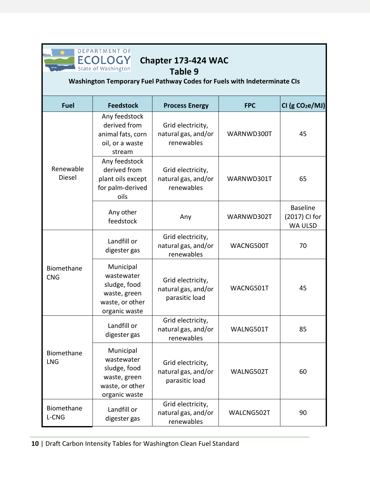

# **Chapter 173-424 WAC**

#### **Table 9**

## **Washington Temporary Fuel Pathway Codes for Fuels with Indeterminate CIs**

| <b>Fuel</b>              | <b>Feedstock</b>                                                                            | <b>Process Energy</b>                                      | <b>FPC</b> | CI (g CO <sub>2</sub> e/MJ)                        |
|--------------------------|---------------------------------------------------------------------------------------------|------------------------------------------------------------|------------|----------------------------------------------------|
| Renewable<br>Diesel      | Any feedstock<br>derived from<br>animal fats, corn<br>oil, or a waste<br>stream             | Grid electricity,<br>natural gas, and/or<br>renewables     | WARNWD300T | 45                                                 |
|                          | Any feedstock<br>derived from<br>plant oils except<br>for palm-derived<br>oils              | Grid electricity,<br>natural gas, and/or<br>renewables     | WARNWD301T | 65                                                 |
|                          | Any other<br>feedstock                                                                      | Any                                                        | WARNWD302T | <b>Baseline</b><br>(2017) CI for<br><b>WA ULSD</b> |
| Biomethane<br><b>CNG</b> | Landfill or<br>digester gas                                                                 | Grid electricity,<br>natural gas, and/or<br>renewables     | WACNG500T  | 70                                                 |
|                          | Municipal<br>wastewater<br>sludge, food<br>waste, green<br>waste, or other<br>organic waste | Grid electricity,<br>natural gas, and/or<br>parasitic load | WACNG501T  | 45                                                 |
|                          | Landfill or<br>digester gas                                                                 | Grid electricity,<br>natural gas, and/or<br>renewables     | WALNG501T  | 85                                                 |
| Biomethane<br><b>LNG</b> | Municipal<br>wastewater<br>sludge, food<br>waste, green<br>waste, or other<br>organic waste | Grid electricity,<br>natural gas, and/or<br>parasitic load | WALNG502T  | 60                                                 |
| Biomethane<br>L-CNG      | Landfill or<br>digester gas                                                                 | Grid electricity,<br>natural gas, and/or<br>renewables     | WALCNG502T | 90                                                 |